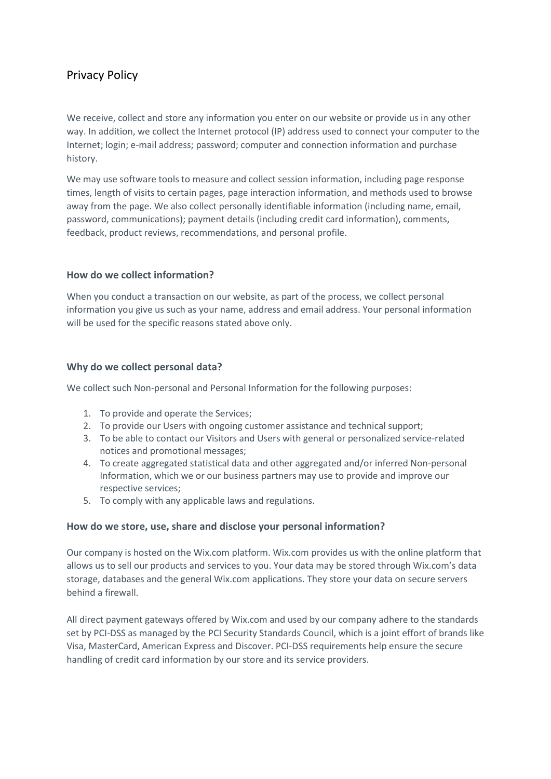# Privacy Policy

We receive, collect and store any information you enter on our website or provide us in any other way. In addition, we collect the Internet protocol (IP) address used to connect your computer to the Internet; login; e-mail address; password; computer and connection information and purchase history.

We may use software tools to measure and collect session information, including page response times, length of visits to certain pages, page interaction information, and methods used to browse away from the page. We also collect personally identifiable information (including name, email, password, communications); payment details (including credit card information), comments, feedback, product reviews, recommendations, and personal profile.

## **How do we collect information?**

When you conduct a transaction on our website, as part of the process, we collect personal information you give us such as your name, address and email address. Your personal information will be used for the specific reasons stated above only.

## **Why do we collect personal data?**

We collect such Non-personal and Personal Information for the following purposes:

- 1. To provide and operate the Services;
- 2. To provide our Users with ongoing customer assistance and technical support;
- 3. To be able to contact our Visitors and Users with general or personalized service-related notices and promotional messages;
- 4. To create aggregated statistical data and other aggregated and/or inferred Non-personal Information, which we or our business partners may use to provide and improve our respective services;
- 5. To comply with any applicable laws and regulations.

## **How do we store, use, share and disclose your personal information?**

Our company is hosted on the Wix.com platform. Wix.com provides us with the online platform that allows us to sell our products and services to you. Your data may be stored through Wix.com's data storage, databases and the general Wix.com applications. They store your data on secure servers behind a firewall.

All direct payment gateways offered by Wix.com and used by our company adhere to the standards set by PCI-DSS as managed by the PCI Security Standards Council, which is a joint effort of brands like Visa, MasterCard, American Express and Discover. PCI-DSS requirements help ensure the secure handling of credit card information by our store and its service providers.